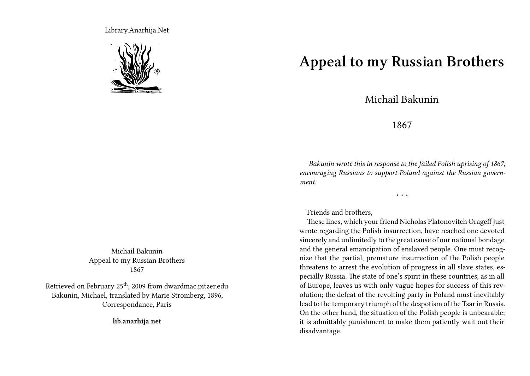Library.Anarhija.Net



Michail Bakunin Appeal to my Russian Brothers 1867

Retrieved on February 25<sup>th</sup>, 2009 from dwardmac.pitzer.edu Bakunin, Michael, translated by Marie Stromberg, 1896, Correspondance, Paris

**lib.anarhija.net**

**Appeal to my Russian Brothers**

Michail Bakunin

## 1867

*Bakunin wrote this in response to the failed Polish uprising of 1867, encouraging Russians to support Poland against the Russian government.*

\* \* \*

Friends and brothers,

These lines, which your friend Nicholas Platonovitch Orageff just wrote regarding the Polish insurrection, have reached one devoted sincerely and unlimitedly to the great cause of our national bondage and the general emancipation of enslaved people. One must recognize that the partial, premature insurrection of the Polish people threatens to arrest the evolution of progress in all slave states, especially Russia. The state of one's spirit in these countries, as in all of Europe, leaves us with only vague hopes for success of this revolution; the defeat of the revolting party in Poland must inevitably lead to the temporary triumph of the despotism of the Tsar in Russia. On the other hand, the situation of the Polish people is unbearable; it is admittably punishment to make them patiently wait out their disadvantage.